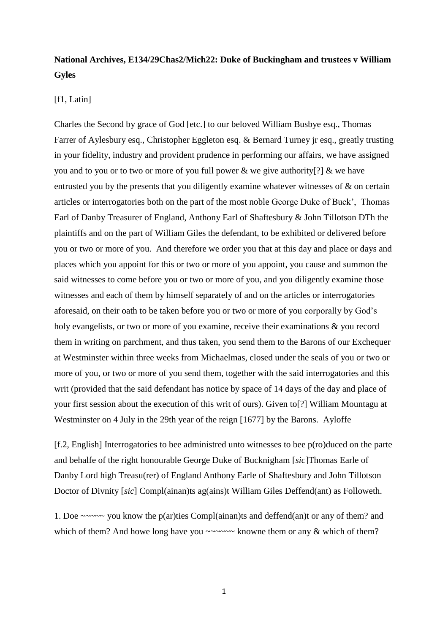## **National Archives, E134/29Chas2/Mich22: Duke of Buckingham and trustees v William Gyles**

## [f1, Latin]

Charles the Second by grace of God [etc.] to our beloved William Busbye esq., Thomas Farrer of Aylesbury esq., Christopher Eggleton esq. & Bernard Turney jr esq., greatly trusting in your fidelity, industry and provident prudence in performing our affairs, we have assigned you and to you or to two or more of you full power & we give authority[?] & we have entrusted you by the presents that you diligently examine whatever witnesses of & on certain articles or interrogatories both on the part of the most noble George Duke of Buck', Thomas Earl of Danby Treasurer of England, Anthony Earl of Shaftesbury & John Tillotson DTh the plaintiffs and on the part of William Giles the defendant, to be exhibited or delivered before you or two or more of you. And therefore we order you that at this day and place or days and places which you appoint for this or two or more of you appoint, you cause and summon the said witnesses to come before you or two or more of you, and you diligently examine those witnesses and each of them by himself separately of and on the articles or interrogatories aforesaid, on their oath to be taken before you or two or more of you corporally by God's holy evangelists, or two or more of you examine, receive their examinations & you record them in writing on parchment, and thus taken, you send them to the Barons of our Exchequer at Westminster within three weeks from Michaelmas, closed under the seals of you or two or more of you, or two or more of you send them, together with the said interrogatories and this writ (provided that the said defendant has notice by space of 14 days of the day and place of your first session about the execution of this writ of ours). Given to[?] William Mountagu at Westminster on 4 July in the 29th year of the reign [1677] by the Barons. Ayloffe

[f.2, English] Interrogatories to bee administred unto witnesses to bee p(ro)duced on the parte and behalfe of the right honourable George Duke of Bucknigham [*sic*]Thomas Earle of Danby Lord high Treasu(rer) of England Anthony Earle of Shaftesbury and John Tillotson Doctor of Divnity [*sic*] Compl(ainan)ts ag(ains)t William Giles Deffend(ant) as Followeth.

1. Doe ~~~~~ you know the p(ar)ties Compl(ainan)ts and deffend(an)t or any of them? and which of them? And howe long have you  $\sim \sim \sim \sim$  knowne them or any  $\&$  which of them?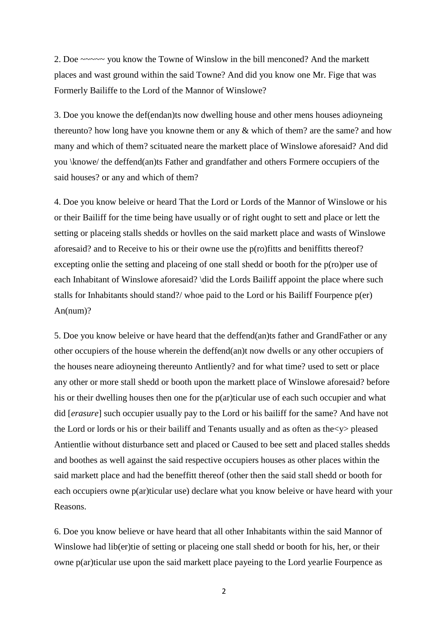2. Doe ~~~~~ you know the Towne of Winslow in the bill menconed? And the markett places and wast ground within the said Towne? And did you know one Mr. Fige that was Formerly Bailiffe to the Lord of the Mannor of Winslowe?

3. Doe you knowe the def(endan)ts now dwelling house and other mens houses adioyneing thereunto? how long have you knowne them or any  $\&$  which of them? are the same? and how many and which of them? scituated neare the markett place of Winslowe aforesaid? And did you \knowe/ the deffend(an)ts Father and grandfather and others Formere occupiers of the said houses? or any and which of them?

4. Doe you know beleive or heard That the Lord or Lords of the Mannor of Winslowe or his or their Bailiff for the time being have usually or of right ought to sett and place or lett the setting or placeing stalls shedds or hovlles on the said markett place and wasts of Winslowe aforesaid? and to Receive to his or their owne use the p(ro)fitts and beniffitts thereof? excepting onlie the setting and placeing of one stall shedd or booth for the p(ro)per use of each Inhabitant of Winslowe aforesaid? \did the Lords Bailiff appoint the place where such stalls for Inhabitants should stand?/ whoe paid to the Lord or his Bailiff Fourpence p(er) An(num)?

5. Doe you know beleive or have heard that the deffend(an)ts father and GrandFather or any other occupiers of the house wherein the deffend(an)t now dwells or any other occupiers of the houses neare adioyneing thereunto Antliently? and for what time? used to sett or place any other or more stall shedd or booth upon the markett place of Winslowe aforesaid? before his or their dwelling houses then one for the p(ar)ticular use of each such occupier and what did [*erasure*] such occupier usually pay to the Lord or his bailiff for the same? And have not the Lord or lords or his or their bailiff and Tenants usually and as often as the<y> pleased Antientlie without disturbance sett and placed or Caused to bee sett and placed stalles shedds and boothes as well against the said respective occupiers houses as other places within the said markett place and had the beneffitt thereof (other then the said stall shedd or booth for each occupiers owne p(ar)ticular use) declare what you know beleive or have heard with your Reasons.

6. Doe you know believe or have heard that all other Inhabitants within the said Mannor of Winslowe had lib(er)tie of setting or placeing one stall shedd or booth for his, her, or their owne p(ar)ticular use upon the said markett place payeing to the Lord yearlie Fourpence as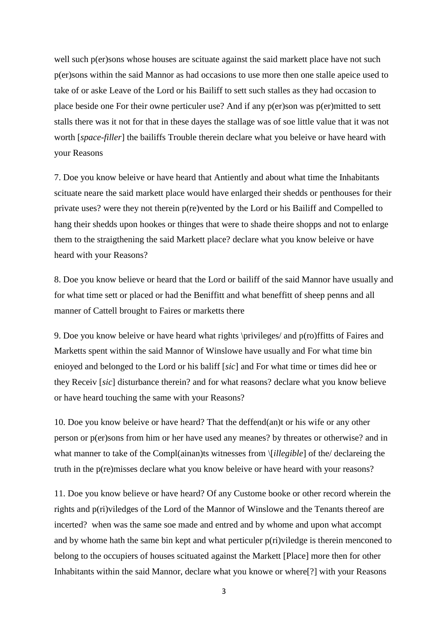well such p(er)sons whose houses are scituate against the said markett place have not such p(er)sons within the said Mannor as had occasions to use more then one stalle apeice used to take of or aske Leave of the Lord or his Bailiff to sett such stalles as they had occasion to place beside one For their owne perticuler use? And if any  $p(er)$ son was  $p(er)$ mitted to sett stalls there was it not for that in these dayes the stallage was of soe little value that it was not worth [*space-filler*] the bailiffs Trouble therein declare what you beleive or have heard with your Reasons

7. Doe you know beleive or have heard that Antiently and about what time the Inhabitants scituate neare the said markett place would have enlarged their shedds or penthouses for their private uses? were they not therein p(re)vented by the Lord or his Bailiff and Compelled to hang their shedds upon hookes or thinges that were to shade theire shopps and not to enlarge them to the straigthening the said Markett place? declare what you know beleive or have heard with your Reasons?

8. Doe you know believe or heard that the Lord or bailiff of the said Mannor have usually and for what time sett or placed or had the Beniffitt and what beneffitt of sheep penns and all manner of Cattell brought to Faires or marketts there

9. Doe you know beleive or have heard what rights \privileges/ and p(ro)ffitts of Faires and Marketts spent within the said Mannor of Winslowe have usually and For what time bin enioyed and belonged to the Lord or his baliff [*sic*] and For what time or times did hee or they Receiv [*sic*] disturbance therein? and for what reasons? declare what you know believe or have heard touching the same with your Reasons?

10. Doe you know beleive or have heard? That the deffend(an)t or his wife or any other person or p(er)sons from him or her have used any meanes? by threates or otherwise? and in what manner to take of the Compl(ainan)ts witnesses from \[*illegible*] of the/ declareing the truth in the p(re)misses declare what you know beleive or have heard with your reasons?

11. Doe you know believe or have heard? Of any Custome booke or other record wherein the rights and p(ri)viledges of the Lord of the Mannor of Winslowe and the Tenants thereof are incerted? when was the same soe made and entred and by whome and upon what accompt and by whome hath the same bin kept and what perticuler p(ri)viledge is therein menconed to belong to the occupiers of houses scituated against the Markett [Place] more then for other Inhabitants within the said Mannor, declare what you knowe or where[?] with your Reasons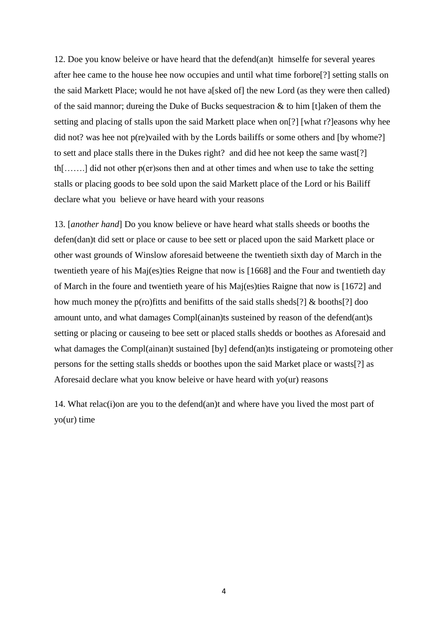12. Doe you know beleive or have heard that the defend(an)t himselfe for several yeares after hee came to the house hee now occupies and until what time forbore[?] setting stalls on the said Markett Place; would he not have a[sked of] the new Lord (as they were then called) of the said mannor; dureing the Duke of Bucks sequestracion  $\&$  to him [t]aken of them the setting and placing of stalls upon the said Markett place when on[?] [what r?]easons why hee did not? was hee not p(re)vailed with by the Lords bailiffs or some others and [by whome?] to sett and place stalls there in the Dukes right? and did hee not keep the same wast[?] th[…….] did not other p(er)sons then and at other times and when use to take the setting stalls or placing goods to bee sold upon the said Markett place of the Lord or his Bailiff declare what you believe or have heard with your reasons

13. [*another hand*] Do you know believe or have heard what stalls sheeds or booths the defen(dan)t did sett or place or cause to bee sett or placed upon the said Markett place or other wast grounds of Winslow aforesaid betweene the twentieth sixth day of March in the twentieth yeare of his Maj(es)ties Reigne that now is [1668] and the Four and twentieth day of March in the foure and twentieth yeare of his Maj(es)ties Raigne that now is [1672] and how much money the p(ro)fitts and benifitts of the said stalls sheds[?] & booths[?] doo amount unto, and what damages Compl(ainan)ts susteined by reason of the defend(ant)s setting or placing or causeing to bee sett or placed stalls shedds or boothes as Aforesaid and what damages the Compl(ainan)t sustained [by] defend(an)ts instigateing or promoteing other persons for the setting stalls shedds or boothes upon the said Market place or wasts[?] as Aforesaid declare what you know beleive or have heard with yo(ur) reasons

14. What relac(i)on are you to the defend(an)t and where have you lived the most part of yo(ur) time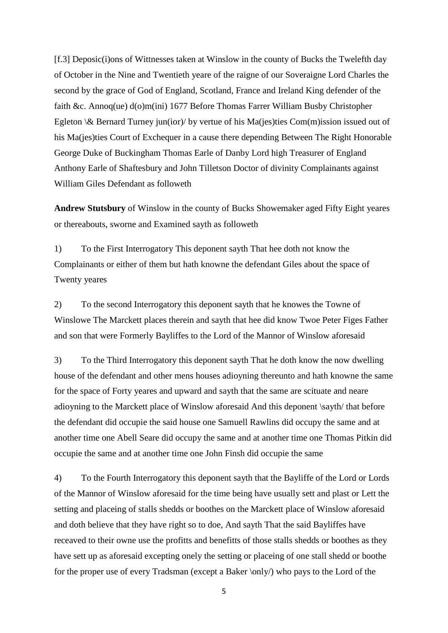[f.3] Deposic(i)ons of Wittnesses taken at Winslow in the county of Bucks the Twelefth day of October in the Nine and Twentieth yeare of the raigne of our Soveraigne Lord Charles the second by the grace of God of England, Scotland, France and Ireland King defender of the faith &c. Annoq(ue) d(o)m(ini) 1677 Before Thomas Farrer William Busby Christopher Egleton  $\&$  Bernard Turney jun(ior)/ by vertue of his Ma(jes)ties Com(m) ission issued out of his Ma(jes)ties Court of Exchequer in a cause there depending Between The Right Honorable George Duke of Buckingham Thomas Earle of Danby Lord high Treasurer of England Anthony Earle of Shaftesbury and John Tilletson Doctor of divinity Complainants against William Giles Defendant as followeth

**Andrew Stutsbury** of Winslow in the county of Bucks Showemaker aged Fifty Eight yeares or thereabouts, sworne and Examined sayth as followeth

1) To the First Interrogatory This deponent sayth That hee doth not know the Complainants or either of them but hath knowne the defendant Giles about the space of Twenty yeares

2) To the second Interrogatory this deponent sayth that he knowes the Towne of Winslowe The Marckett places therein and sayth that hee did know Twoe Peter Figes Father and son that were Formerly Bayliffes to the Lord of the Mannor of Winslow aforesaid

3) To the Third Interrogatory this deponent sayth That he doth know the now dwelling house of the defendant and other mens houses adioyning thereunto and hath knowne the same for the space of Forty yeares and upward and sayth that the same are scituate and neare adioyning to the Marckett place of Winslow aforesaid And this deponent \sayth/ that before the defendant did occupie the said house one Samuell Rawlins did occupy the same and at another time one Abell Seare did occupy the same and at another time one Thomas Pitkin did occupie the same and at another time one John Finsh did occupie the same

4) To the Fourth Interrogatory this deponent sayth that the Bayliffe of the Lord or Lords of the Mannor of Winslow aforesaid for the time being have usually sett and plast or Lett the setting and placeing of stalls shedds or boothes on the Marckett place of Winslow aforesaid and doth believe that they have right so to doe, And sayth That the said Bayliffes have receaved to their owne use the profitts and benefitts of those stalls shedds or boothes as they have sett up as aforesaid excepting onely the setting or placeing of one stall shedd or boothe for the proper use of every Tradsman (except a Baker \only/) who pays to the Lord of the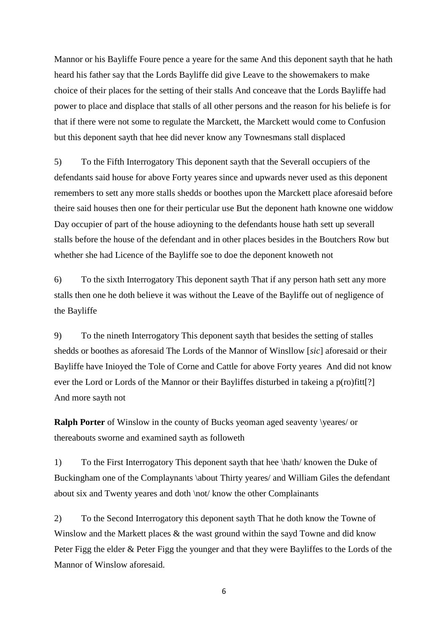Mannor or his Bayliffe Foure pence a yeare for the same And this deponent sayth that he hath heard his father say that the Lords Bayliffe did give Leave to the showemakers to make choice of their places for the setting of their stalls And conceave that the Lords Bayliffe had power to place and displace that stalls of all other persons and the reason for his beliefe is for that if there were not some to regulate the Marckett, the Marckett would come to Confusion but this deponent sayth that hee did never know any Townesmans stall displaced

5) To the Fifth Interrogatory This deponent sayth that the Severall occupiers of the defendants said house for above Forty yeares since and upwards never used as this deponent remembers to sett any more stalls shedds or boothes upon the Marckett place aforesaid before theire said houses then one for their perticular use But the deponent hath knowne one widdow Day occupier of part of the house adioyning to the defendants house hath sett up severall stalls before the house of the defendant and in other places besides in the Boutchers Row but whether she had Licence of the Bayliffe soe to doe the deponent knoweth not

6) To the sixth Interrogatory This deponent sayth That if any person hath sett any more stalls then one he doth believe it was without the Leave of the Bayliffe out of negligence of the Bayliffe

9) To the nineth Interrogatory This deponent sayth that besides the setting of stalles shedds or boothes as aforesaid The Lords of the Mannor of Winsllow [*sic*] aforesaid or their Bayliffe have Inioyed the Tole of Corne and Cattle for above Forty yeares And did not know ever the Lord or Lords of the Mannor or their Bayliffes disturbed in takeing a p(ro)fitt[?] And more sayth not

**Ralph Porter** of Winslow in the county of Bucks yeoman aged seaventy \veares/ or thereabouts sworne and examined sayth as followeth

1) To the First Interrogatory This deponent sayth that hee \hath/ knowen the Duke of Buckingham one of the Complaynants \about Thirty yeares/ and William Giles the defendant about six and Twenty yeares and doth \not/ know the other Complainants

2) To the Second Interrogatory this deponent sayth That he doth know the Towne of Winslow and the Markett places & the wast ground within the sayd Towne and did know Peter Figg the elder & Peter Figg the younger and that they were Bayliffes to the Lords of the Mannor of Winslow aforesaid.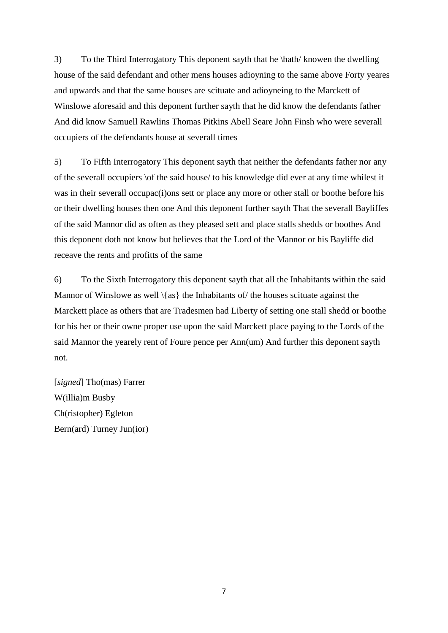3) To the Third Interrogatory This deponent sayth that he \hath/ knowen the dwelling house of the said defendant and other mens houses adioyning to the same above Forty yeares and upwards and that the same houses are scituate and adioyneing to the Marckett of Winslowe aforesaid and this deponent further sayth that he did know the defendants father And did know Samuell Rawlins Thomas Pitkins Abell Seare John Finsh who were severall occupiers of the defendants house at severall times

5) To Fifth Interrogatory This deponent sayth that neither the defendants father nor any of the severall occupiers \of the said house/ to his knowledge did ever at any time whilest it was in their severall occupac(i)ons sett or place any more or other stall or boothe before his or their dwelling houses then one And this deponent further sayth That the severall Bayliffes of the said Mannor did as often as they pleased sett and place stalls shedds or boothes And this deponent doth not know but believes that the Lord of the Mannor or his Bayliffe did receave the rents and profitts of the same

6) To the Sixth Interrogatory this deponent sayth that all the Inhabitants within the said Mannor of Winslowe as well  $\{as\}$  the Inhabitants of/the houses scituate against the Marckett place as others that are Tradesmen had Liberty of setting one stall shedd or boothe for his her or their owne proper use upon the said Marckett place paying to the Lords of the said Mannor the yearely rent of Foure pence per Ann(um) And further this deponent sayth not.

[*signed*] Tho(mas) Farrer W(illia)m Busby Ch(ristopher) Egleton Bern(ard) Turney Jun(ior)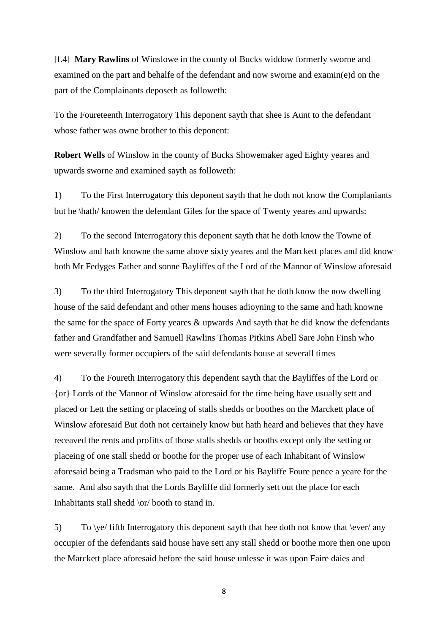[f.4] **Mary Rawlins** of Winslowe in the county of Bucks widdow formerly sworne and examined on the part and behalfe of the defendant and now sworne and examin(e)d on the part of the Complainants deposeth as followeth:

To the Foureteenth Interrogatory This deponent sayth that shee is Aunt to the defendant whose father was owne brother to this deponent:

**Robert Wells** of Winslow in the county of Bucks Showemaker aged Eighty yeares and upwards sworne and examined sayth as followeth:

1) To the First Interrogatory this deponent sayth that he doth not know the Complaniants but he \hath/ knowen the defendant Giles for the space of Twenty yeares and upwards:

2) To the second Interrogatory this deponent sayth that he doth know the Towne of Winslow and hath knowne the same above sixty yeares and the Marckett places and did know both Mr Fedyges Father and sonne Bayliffes of the Lord of the Mannor of Winslow aforesaid

3) To the third Interrogatory This deponent sayth that he doth know the now dwelling house of the said defendant and other mens houses adioyning to the same and hath knowne the same for the space of Forty yeares & upwards And sayth that he did know the defendants father and Grandfather and Samuell Rawlins Thomas Pitkins Abell Sare John Finsh who were severally former occupiers of the said defendants house at severall times

4) To the Foureth Interrogatory this dependent sayth that the Bayliffes of the Lord or {or} Lords of the Mannor of Winslow aforesaid for the time being have usually sett and placed or Lett the setting or placeing of stalls shedds or boothes on the Marckett place of Winslow aforesaid But doth not certainely know but hath heard and believes that they have receaved the rents and profitts of those stalls shedds or booths except only the setting or placeing of one stall shedd or boothe for the proper use of each Inhabitant of Winslow aforesaid being a Tradsman who paid to the Lord or his Bayliffe Foure pence a yeare for the same. And also sayth that the Lords Bayliffe did formerly sett out the place for each Inhabitants stall shedd \or/ booth to stand in.

5) To  $\vee$  fifth Interrogatory this deponent sayth that hee doth not know that  $\leq$ occupier of the defendants said house have sett any stall shedd or boothe more then one upon the Marckett place aforesaid before the said house unlesse it was upon Faire daies and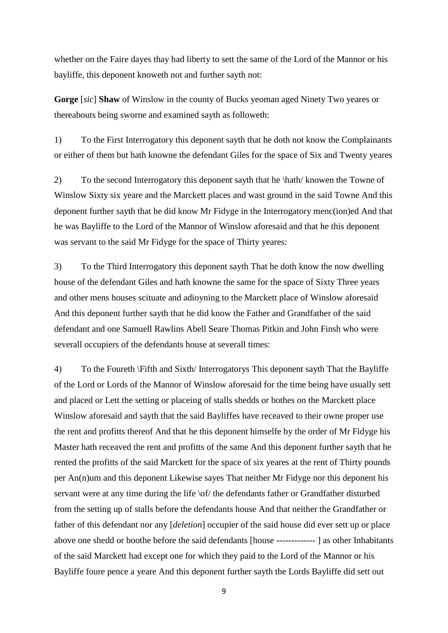whether on the Faire dayes thay had liberty to sett the same of the Lord of the Mannor or his bayliffe, this deponent knoweth not and further sayth not:

**Gorge** [*sic*] **Shaw** of Winslow in the county of Bucks yeoman aged Ninety Two yeares or thereabouts being sworne and examined sayth as followeth:

1) To the First Interrogatory this deponent sayth that he doth not know the Complainants or either of them but hath knowne the defendant Giles for the space of Six and Twenty yeares

2) To the second Interrogatory this deponent sayth that he \hath/ knowen the Towne of Winslow Sixty six yeare and the Marckett places and wast ground in the said Towne And this deponent further sayth that he did know Mr Fidyge in the Interrogatory menc(ion)ed And that he was Bayliffe to the Lord of the Mannor of Winslow aforesaid and that he this deponent was servant to the said Mr Fidyge for the space of Thirty yeares:

3) To the Third Interrogatory this deponent sayth That he doth know the now dwelling house of the defendant Giles and hath knowne the same for the space of Sixty Three years and other mens houses scituate and adioyning to the Marckett place of Winslow aforesaid And this deponent further sayth that he did know the Father and Grandfather of the said defendant and one Samuell Rawlins Abell Seare Thomas Pitkin and John Finsh who were severall occupiers of the defendants house at severall times:

4) To the Foureth \Fifth and Sixth/ Interrogatorys This deponent sayth That the Bayliffe of the Lord or Lords of the Mannor of Winslow aforesaid for the time being have usually sett and placed or Lett the setting or placeing of stalls shedds or bothes on the Marckett place Winslow aforesaid and sayth that the said Bayliffes have receaved to their owne proper use the rent and profitts thereof And that he this deponent himselfe by the order of Mr Fidyge his Master hath receaved the rent and profitts of the same And this deponent further sayth that he rented the profitts of the said Marckett for the space of six yeares at the rent of Thirty pounds per An(n)um and this deponent Likewise sayes That neither Mr Fidyge nor this deponent his servant were at any time during the life \of/ the defendants father or Grandfather disturbed from the setting up of stalls before the defendants house And that neither the Grandfather or father of this defendant nor any [*deletion*] occupier of the said house did ever sett up or place above one shedd or boothe before the said defendants [house ------------- ] as other Inhabitants of the said Marckett had except one for which they paid to the Lord of the Mannor or his Bayliffe foure pence a yeare And this deponent further sayth the Lords Bayliffe did sett out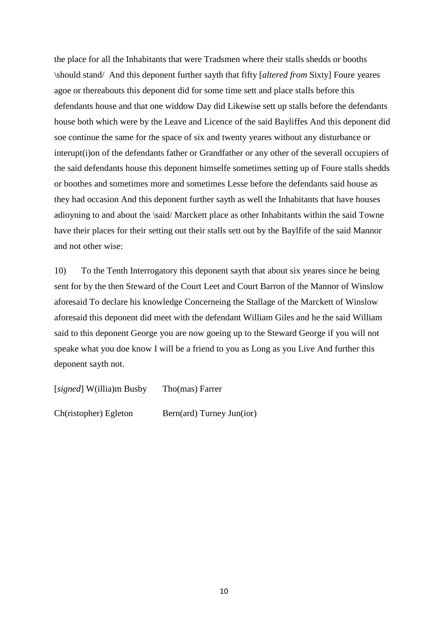the place for all the Inhabitants that were Tradsmen where their stalls shedds or booths \should stand/ And this deponent further sayth that fifty [*altered from* Sixty] Foure yeares agoe or thereabouts this deponent did for some time sett and place stalls before this defendants house and that one widdow Day did Likewise sett up stalls before the defendants house both which were by the Leave and Licence of the said Bayliffes And this deponent did soe continue the same for the space of six and twenty yeares without any disturbance or interupt(i)on of the defendants father or Grandfather or any other of the severall occupiers of the said defendants house this deponent himselfe sometimes setting up of Foure stalls shedds or boothes and sometimes more and sometimes Lesse before the defendants said house as they had occasion And this deponent further sayth as well the Inhabitants that have houses adioyning to and about the \said/ Marckett place as other Inhabitants within the said Towne have their places for their setting out their stalls sett out by the Baylfife of the said Mannor and not other wise:

10) To the Tenth Interrogatory this deponent sayth that about six yeares since he being sent for by the then Steward of the Court Leet and Court Barron of the Mannor of Winslow aforesaid To declare his knowledge Concerneing the Stallage of the Marckett of Winslow aforesaid this deponent did meet with the defendant William Giles and he the said William said to this deponent George you are now goeing up to the Steward George if you will not speake what you doe know I will be a friend to you as Long as you Live And further this deponent sayth not.

| [signed] W(illia)m Busby | Tho(mas) Farrer           |
|--------------------------|---------------------------|
| Ch(ristopher) Egleton    | Bern(ard) Turney Jun(ior) |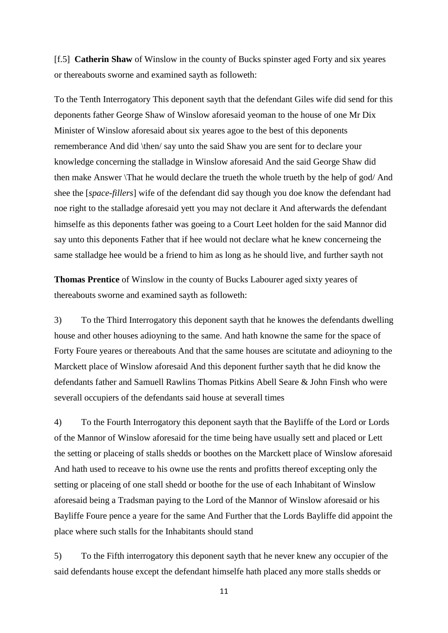[f.5] **Catherin Shaw** of Winslow in the county of Bucks spinster aged Forty and six yeares or thereabouts sworne and examined sayth as followeth:

To the Tenth Interrogatory This deponent sayth that the defendant Giles wife did send for this deponents father George Shaw of Winslow aforesaid yeoman to the house of one Mr Dix Minister of Winslow aforesaid about six yeares agoe to the best of this deponents rememberance And did \then/ say unto the said Shaw you are sent for to declare your knowledge concerning the stalladge in Winslow aforesaid And the said George Shaw did then make Answer \That he would declare the trueth the whole trueth by the help of god/ And shee the [*space-fillers*] wife of the defendant did say though you doe know the defendant had noe right to the stalladge aforesaid yett you may not declare it And afterwards the defendant himselfe as this deponents father was goeing to a Court Leet holden for the said Mannor did say unto this deponents Father that if hee would not declare what he knew concerneing the same stalladge hee would be a friend to him as long as he should live, and further sayth not

**Thomas Prentice** of Winslow in the county of Bucks Labourer aged sixty yeares of thereabouts sworne and examined sayth as followeth:

3) To the Third Interrogatory this deponent sayth that he knowes the defendants dwelling house and other houses adioyning to the same. And hath knowne the same for the space of Forty Foure yeares or thereabouts And that the same houses are scitutate and adioyning to the Marckett place of Winslow aforesaid And this deponent further sayth that he did know the defendants father and Samuell Rawlins Thomas Pitkins Abell Seare & John Finsh who were severall occupiers of the defendants said house at severall times

4) To the Fourth Interrogatory this deponent sayth that the Bayliffe of the Lord or Lords of the Mannor of Winslow aforesaid for the time being have usually sett and placed or Lett the setting or placeing of stalls shedds or boothes on the Marckett place of Winslow aforesaid And hath used to receave to his owne use the rents and profitts thereof excepting only the setting or placeing of one stall shedd or boothe for the use of each Inhabitant of Winslow aforesaid being a Tradsman paying to the Lord of the Mannor of Winslow aforesaid or his Bayliffe Foure pence a yeare for the same And Further that the Lords Bayliffe did appoint the place where such stalls for the Inhabitants should stand

5) To the Fifth interrogatory this deponent sayth that he never knew any occupier of the said defendants house except the defendant himselfe hath placed any more stalls shedds or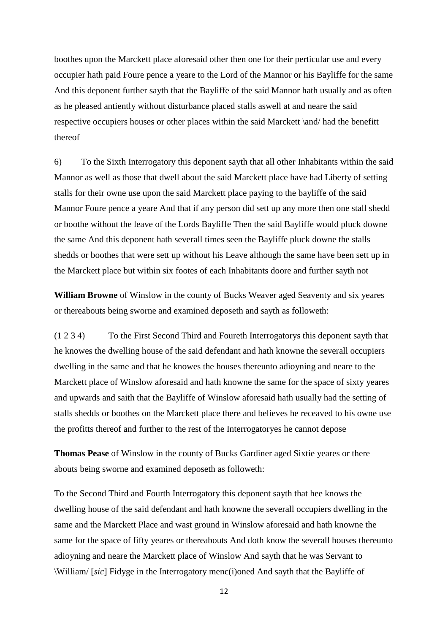boothes upon the Marckett place aforesaid other then one for their perticular use and every occupier hath paid Foure pence a yeare to the Lord of the Mannor or his Bayliffe for the same And this deponent further sayth that the Bayliffe of the said Mannor hath usually and as often as he pleased antiently without disturbance placed stalls aswell at and neare the said respective occupiers houses or other places within the said Marckett \and/ had the benefitt thereof

6) To the Sixth Interrogatory this deponent sayth that all other Inhabitants within the said Mannor as well as those that dwell about the said Marckett place have had Liberty of setting stalls for their owne use upon the said Marckett place paying to the bayliffe of the said Mannor Foure pence a yeare And that if any person did sett up any more then one stall shedd or boothe without the leave of the Lords Bayliffe Then the said Bayliffe would pluck downe the same And this deponent hath severall times seen the Bayliffe pluck downe the stalls shedds or boothes that were sett up without his Leave although the same have been sett up in the Marckett place but within six footes of each Inhabitants doore and further sayth not

**William Browne** of Winslow in the county of Bucks Weaver aged Seaventy and six yeares or thereabouts being sworne and examined deposeth and sayth as followeth:

(1 2 3 4) To the First Second Third and Foureth Interrogatorys this deponent sayth that he knowes the dwelling house of the said defendant and hath knowne the severall occupiers dwelling in the same and that he knowes the houses thereunto adioyning and neare to the Marckett place of Winslow aforesaid and hath knowne the same for the space of sixty yeares and upwards and saith that the Bayliffe of Winslow aforesaid hath usually had the setting of stalls shedds or boothes on the Marckett place there and believes he receaved to his owne use the profitts thereof and further to the rest of the Interrogatoryes he cannot depose

**Thomas Pease** of Winslow in the county of Bucks Gardiner aged Sixtie yeares or there abouts being sworne and examined deposeth as followeth:

To the Second Third and Fourth Interrogatory this deponent sayth that hee knows the dwelling house of the said defendant and hath knowne the severall occupiers dwelling in the same and the Marckett Place and wast ground in Winslow aforesaid and hath knowne the same for the space of fifty yeares or thereabouts And doth know the severall houses thereunto adioyning and neare the Marckett place of Winslow And sayth that he was Servant to \William/ [*sic*] Fidyge in the Interrogatory menc(i)oned And sayth that the Bayliffe of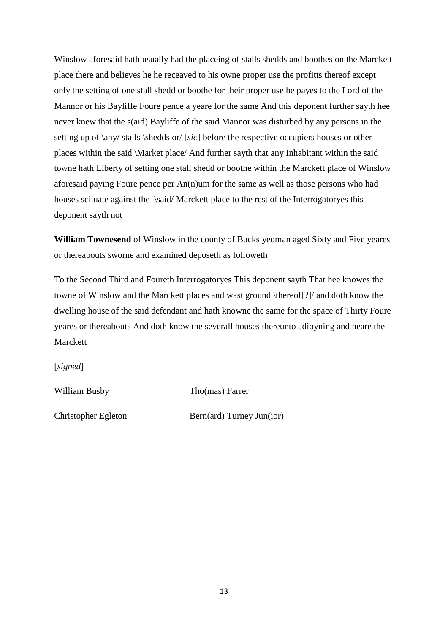Winslow aforesaid hath usually had the placeing of stalls shedds and boothes on the Marckett place there and believes he he receaved to his owne proper use the profitts thereof except only the setting of one stall shedd or boothe for their proper use he payes to the Lord of the Mannor or his Bayliffe Foure pence a yeare for the same And this deponent further sayth hee never knew that the s(aid) Bayliffe of the said Mannor was disturbed by any persons in the setting up of \any/ stalls \shedds or/ [*sic*] before the respective occupiers houses or other places within the said \Market place/ And further sayth that any Inhabitant within the said towne hath Liberty of setting one stall shedd or boothe within the Marckett place of Winslow aforesaid paying Foure pence per An(n)um for the same as well as those persons who had houses scituate against the \said/ Marckett place to the rest of the Interrogatoryes this deponent sayth not

**William Townesend** of Winslow in the county of Bucks yeoman aged Sixty and Five yeares or thereabouts sworne and examined deposeth as followeth

To the Second Third and Foureth Interrogatoryes This deponent sayth That hee knowes the towne of Winslow and the Marckett places and wast ground \thereof[?]/ and doth know the dwelling house of the said defendant and hath knowne the same for the space of Thirty Foure yeares or thereabouts And doth know the severall houses thereunto adioyning and neare the Marckett

[*signed*]

William Busby Tho(mas) Farrer

Christopher Egleton Bern(ard) Turney Jun(ior)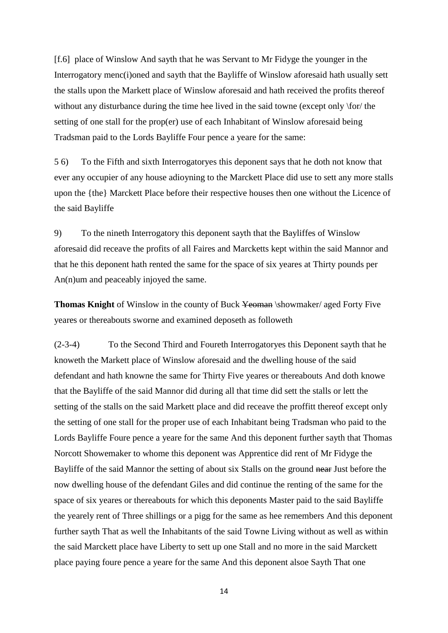[f.6] place of Winslow And sayth that he was Servant to Mr Fidyge the younger in the Interrogatory menc(i)oned and sayth that the Bayliffe of Winslow aforesaid hath usually sett the stalls upon the Markett place of Winslow aforesaid and hath received the profits thereof without any disturbance during the time hee lived in the said towne (except only \for/ the setting of one stall for the prop(er) use of each Inhabitant of Winslow aforesaid being Tradsman paid to the Lords Bayliffe Four pence a yeare for the same:

5 6) To the Fifth and sixth Interrogatoryes this deponent says that he doth not know that ever any occupier of any house adioyning to the Marckett Place did use to sett any more stalls upon the {the} Marckett Place before their respective houses then one without the Licence of the said Bayliffe

9) To the nineth Interrogatory this deponent sayth that the Bayliffes of Winslow aforesaid did receave the profits of all Faires and Marcketts kept within the said Mannor and that he this deponent hath rented the same for the space of six yeares at Thirty pounds per An(n)um and peaceably injoyed the same.

**Thomas Knight** of Winslow in the county of Buck Yeoman \showmaker/ aged Forty Five yeares or thereabouts sworne and examined deposeth as followeth

(2-3-4) To the Second Third and Foureth Interrogatoryes this Deponent sayth that he knoweth the Markett place of Winslow aforesaid and the dwelling house of the said defendant and hath knowne the same for Thirty Five yeares or thereabouts And doth knowe that the Bayliffe of the said Mannor did during all that time did sett the stalls or lett the setting of the stalls on the said Markett place and did receave the proffitt thereof except only the setting of one stall for the proper use of each Inhabitant being Tradsman who paid to the Lords Bayliffe Foure pence a yeare for the same And this deponent further sayth that Thomas Norcott Showemaker to whome this deponent was Apprentice did rent of Mr Fidyge the Bayliffe of the said Mannor the setting of about six Stalls on the ground near Just before the now dwelling house of the defendant Giles and did continue the renting of the same for the space of six yeares or thereabouts for which this deponents Master paid to the said Bayliffe the yearely rent of Three shillings or a pigg for the same as hee remembers And this deponent further sayth That as well the Inhabitants of the said Towne Living without as well as within the said Marckett place have Liberty to sett up one Stall and no more in the said Marckett place paying foure pence a yeare for the same And this deponent alsoe Sayth That one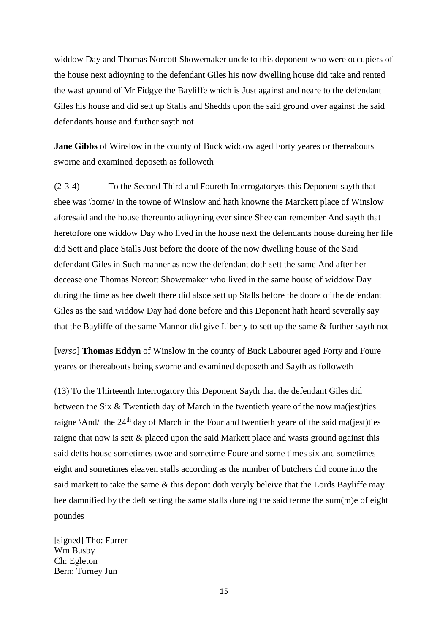widdow Day and Thomas Norcott Showemaker uncle to this deponent who were occupiers of the house next adioyning to the defendant Giles his now dwelling house did take and rented the wast ground of Mr Fidgye the Bayliffe which is Just against and neare to the defendant Giles his house and did sett up Stalls and Shedds upon the said ground over against the said defendants house and further sayth not

**Jane Gibbs** of Winslow in the county of Buck widdow aged Forty yeares or thereabouts sworne and examined deposeth as followeth

(2-3-4) To the Second Third and Foureth Interrogatoryes this Deponent sayth that shee was \borne/ in the towne of Winslow and hath knowne the Marckett place of Winslow aforesaid and the house thereunto adioyning ever since Shee can remember And sayth that heretofore one widdow Day who lived in the house next the defendants house dureing her life did Sett and place Stalls Just before the doore of the now dwelling house of the Said defendant Giles in Such manner as now the defendant doth sett the same And after her decease one Thomas Norcott Showemaker who lived in the same house of widdow Day during the time as hee dwelt there did alsoe sett up Stalls before the doore of the defendant Giles as the said widdow Day had done before and this Deponent hath heard severally say that the Bayliffe of the same Mannor did give Liberty to sett up the same & further sayth not

[*verso*] **Thomas Eddyn** of Winslow in the county of Buck Labourer aged Forty and Foure yeares or thereabouts being sworne and examined deposeth and Sayth as followeth

(13) To the Thirteenth Interrogatory this Deponent Sayth that the defendant Giles did between the Six & Twentieth day of March in the twentieth yeare of the now ma(jest)ties raigne  $\Lambda$ nd/ the 24<sup>th</sup> day of March in the Four and twentieth yeare of the said ma(jest)ties raigne that now is sett & placed upon the said Markett place and wasts ground against this said defts house sometimes twoe and sometime Foure and some times six and sometimes eight and sometimes eleaven stalls according as the number of butchers did come into the said markett to take the same & this depont doth veryly beleive that the Lords Bayliffe may bee damnified by the deft setting the same stalls dureing the said terme the sum(m)e of eight poundes

[signed] Tho: Farrer Wm Busby Ch: Egleton Bern: Turney Jun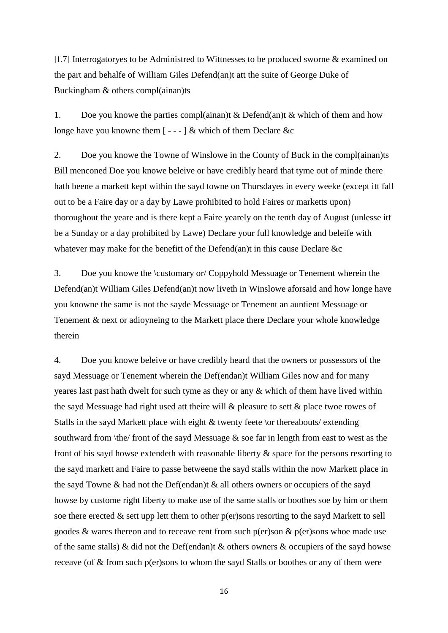[f.7] Interrogatoryes to be Administred to Wittnesses to be produced sworne & examined on the part and behalfe of William Giles Defend(an)t att the suite of George Duke of Buckingham & others compl(ainan)ts

1. Doe you knowe the parties compl(ainan)t & Defend(an)t & which of them and how longe have you knowne them  $[- -]$  & which of them Declare &c

2. Doe you knowe the Towne of Winslowe in the County of Buck in the compl(ainan)ts Bill menconed Doe you knowe beleive or have credibly heard that tyme out of minde there hath beene a markett kept within the sayd towne on Thursdayes in every weeke (except itt fall out to be a Faire day or a day by Lawe prohibited to hold Faires or marketts upon) thoroughout the yeare and is there kept a Faire yearely on the tenth day of August (unlesse itt be a Sunday or a day prohibited by Lawe) Declare your full knowledge and beleife with whatever may make for the benefitt of the Defend(an)t in this cause Declare  $\&c$ 

3. Doe you knowe the \customary or/ Coppyhold Messuage or Tenement wherein the Defend(an)t William Giles Defend(an)t now liveth in Winslowe aforsaid and how longe have you knowne the same is not the sayde Messuage or Tenement an auntient Messuage or Tenement & next or adioyneing to the Markett place there Declare your whole knowledge therein

4. Doe you knowe beleive or have credibly heard that the owners or possessors of the sayd Messuage or Tenement wherein the Def(endan)t William Giles now and for many yeares last past hath dwelt for such tyme as they or any & which of them have lived within the sayd Messuage had right used att theire will & pleasure to sett & place twoe rowes of Stalls in the sayd Markett place with eight  $\&$  twenty feete \or thereabouts/ extending southward from  $\theta$  / front of the sayd Messuage & soe far in length from east to west as the front of his sayd howse extendeth with reasonable liberty & space for the persons resorting to the sayd markett and Faire to passe betweene the sayd stalls within the now Markett place in the sayd Towne & had not the Def(endan)t & all others owners or occupiers of the sayd howse by custome right liberty to make use of the same stalls or boothes soe by him or them soe there erected & sett upp lett them to other p(er)sons resorting to the sayd Markett to sell goodes  $\&$  wares thereon and to receave rent from such p(er)son  $\&$  p(er)sons whoe made use of the same stalls) & did not the Def(endan)t & others owners & occupiers of the sayd howse receave (of & from such p(er)sons to whom the sayd Stalls or boothes or any of them were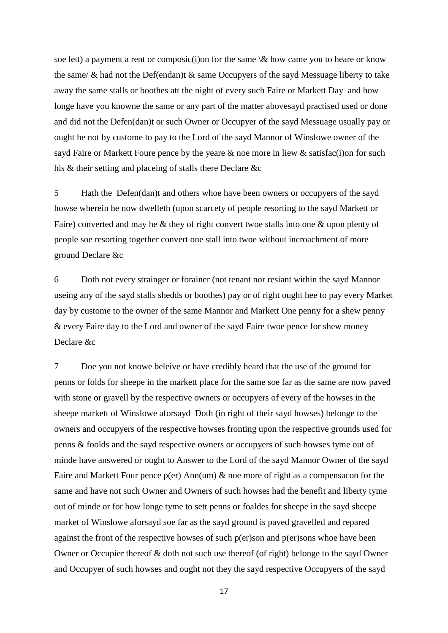soe lett) a payment a rent or composic(i)on for the same  $\&$  how came you to heare or know the same/ & had not the Def(endan)t & same Occupyers of the sayd Messuage liberty to take away the same stalls or boothes att the night of every such Faire or Markett Day and how longe have you knowne the same or any part of the matter abovesayd practised used or done and did not the Defen(dan)t or such Owner or Occupyer of the sayd Messuage usually pay or ought he not by custome to pay to the Lord of the sayd Mannor of Winslowe owner of the sayd Faire or Markett Foure pence by the yeare & noe more in liew & satisfac(i)on for such his & their setting and placeing of stalls there Declare &c

5 Hath the Defen(dan)t and others whoe have been owners or occupyers of the sayd howse wherein he now dwelleth (upon scarcety of people resorting to the sayd Markett or Faire) converted and may he & they of right convert twoe stalls into one & upon plenty of people soe resorting together convert one stall into twoe without incroachment of more ground Declare &c

6 Doth not every strainger or forainer (not tenant nor resiant within the sayd Mannor useing any of the sayd stalls shedds or boothes) pay or of right ought hee to pay every Market day by custome to the owner of the same Mannor and Markett One penny for a shew penny & every Faire day to the Lord and owner of the sayd Faire twoe pence for shew money Declare &c

7 Doe you not knowe beleive or have credibly heard that the use of the ground for penns or folds for sheepe in the markett place for the same soe far as the same are now paved with stone or gravell by the respective owners or occupyers of every of the howses in the sheepe markett of Winslowe aforsayd Doth (in right of their sayd howses) belonge to the owners and occupyers of the respective howses fronting upon the respective grounds used for penns & foolds and the sayd respective owners or occupyers of such howses tyme out of minde have answered or ought to Answer to the Lord of the sayd Mannor Owner of the sayd Faire and Markett Four pence  $p(er)$  Ann(um)  $\&$  noe more of right as a compensacon for the same and have not such Owner and Owners of such howses had the benefit and liberty tyme out of minde or for how longe tyme to sett penns or foaldes for sheepe in the sayd sheepe market of Winslowe aforsayd soe far as the sayd ground is paved gravelled and repared against the front of the respective howses of such p(er)son and p(er)sons whoe have been Owner or Occupier thereof & doth not such use thereof (of right) belonge to the sayd Owner and Occupyer of such howses and ought not they the sayd respective Occupyers of the sayd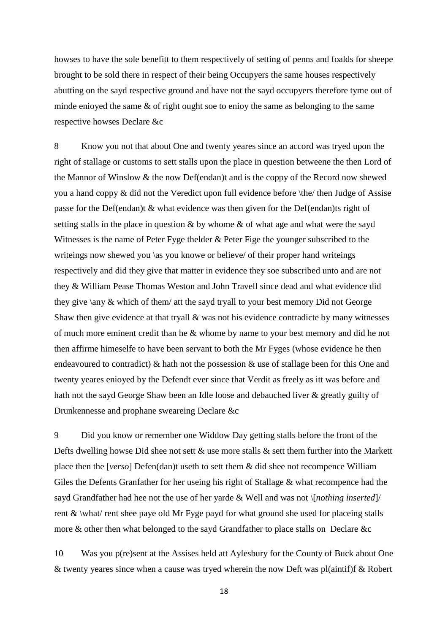howses to have the sole benefitt to them respectively of setting of penns and foalds for sheepe brought to be sold there in respect of their being Occupyers the same houses respectively abutting on the sayd respective ground and have not the sayd occupyers therefore tyme out of minde enioyed the same & of right ought soe to enioy the same as belonging to the same respective howses Declare &c

8 Know you not that about One and twenty yeares since an accord was tryed upon the right of stallage or customs to sett stalls upon the place in question betweene the then Lord of the Mannor of Winslow & the now Def(endan)t and is the coppy of the Record now shewed you a hand coppy & did not the Veredict upon full evidence before \the/ then Judge of Assise passe for the Def(endan)t & what evidence was then given for the Def(endan)ts right of setting stalls in the place in question  $\&$  by whome  $\&$  of what age and what were the sayd Witnesses is the name of Peter Fyge thelder & Peter Fige the younger subscribed to the writeings now shewed you \as you knowe or believe/ of their proper hand writeings respectively and did they give that matter in evidence they soe subscribed unto and are not they & William Pease Thomas Weston and John Travell since dead and what evidence did they give \any & which of them/ att the sayd tryall to your best memory Did not George Shaw then give evidence at that tryall & was not his evidence contradicte by many witnesses of much more eminent credit than he & whome by name to your best memory and did he not then affirme himeselfe to have been servant to both the Mr Fyges (whose evidence he then endeavoured to contradict) & hath not the possession & use of stallage been for this One and twenty yeares enioyed by the Defendt ever since that Verdit as freely as itt was before and hath not the sayd George Shaw been an Idle loose and debauched liver & greatly guilty of Drunkennesse and prophane sweareing Declare &c

9 Did you know or remember one Widdow Day getting stalls before the front of the Defts dwelling howse Did shee not sett & use more stalls & sett them further into the Markett place then the [*verso*] Defen(dan)t useth to sett them & did shee not recompence William Giles the Defents Granfather for her useing his right of Stallage & what recompence had the sayd Grandfather had hee not the use of her yarde & Well and was not \[*nothing inserted*]/ rent  $\&$  \what/ rent shee paye old Mr Fyge payd for what ground she used for placeing stalls more & other then what belonged to the sayd Grandfather to place stalls on Declare &c

10 Was you p(re)sent at the Assises held att Aylesbury for the County of Buck about One & twenty yeares since when a cause was tryed wherein the now Deft was pl(aintif)f & Robert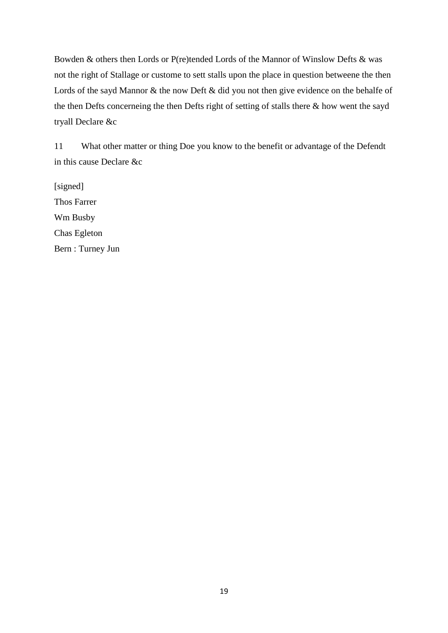Bowden & others then Lords or P(re)tended Lords of the Mannor of Winslow Defts & was not the right of Stallage or custome to sett stalls upon the place in question betweene the then Lords of the sayd Mannor & the now Deft & did you not then give evidence on the behalfe of the then Defts concerneing the then Defts right of setting of stalls there & how went the sayd tryall Declare &c

11 What other matter or thing Doe you know to the benefit or advantage of the Defendt in this cause Declare &c

[signed] Thos Farrer Wm Busby Chas Egleton Bern : Turney Jun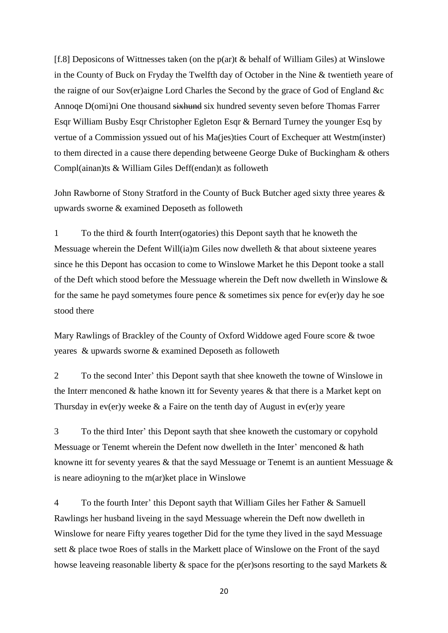[f.8] Deposicons of Wittnesses taken (on the p(ar)t & behalf of William Giles) at Winslowe in the County of Buck on Fryday the Twelfth day of October in the Nine & twentieth yeare of the raigne of our Sov(er)aigne Lord Charles the Second by the grace of God of England &c Annoqe D(omi)ni One thousand sixhund six hundred seventy seven before Thomas Farrer Esqr William Busby Esqr Christopher Egleton Esqr & Bernard Turney the younger Esq by vertue of a Commission yssued out of his Ma(jes)ties Court of Exchequer att Westm(inster) to them directed in a cause there depending betweene George Duke of Buckingham & others Compl(ainan)ts & William Giles Deff(endan)t as followeth

John Rawborne of Stony Stratford in the County of Buck Butcher aged sixty three yeares & upwards sworne & examined Deposeth as followeth

1 To the third & fourth Interr(ogatories) this Depont sayth that he knoweth the Messuage wherein the Defent Will(ia)m Giles now dwelleth & that about sixteene yeares since he this Depont has occasion to come to Winslowe Market he this Depont tooke a stall of the Deft which stood before the Messuage wherein the Deft now dwelleth in Winslowe  $\&$ for the same he payd sometymes foure pence  $\&$  sometimes six pence for ev(er)y day he soe stood there

Mary Rawlings of Brackley of the County of Oxford Widdowe aged Foure score & twoe yeares & upwards sworne & examined Deposeth as followeth

2 To the second Inter' this Depont sayth that shee knoweth the towne of Winslowe in the Interr menconed & hathe known itt for Seventy yeares & that there is a Market kept on Thursday in ev(er)y weeke  $\&$  a Faire on the tenth day of August in ev(er)y yeare

3 To the third Inter' this Depont sayth that shee knoweth the customary or copyhold Messuage or Tenemt wherein the Defent now dwelleth in the Inter' menconed & hath knowne itt for seventy yeares & that the sayd Messuage or Tenemt is an auntient Messuage & is neare adioyning to the m(ar)ket place in Winslowe

4 To the fourth Inter' this Depont sayth that William Giles her Father & Samuell Rawlings her husband liveing in the sayd Messuage wherein the Deft now dwelleth in Winslowe for neare Fifty yeares together Did for the tyme they lived in the sayd Messuage sett & place twoe Roes of stalls in the Markett place of Winslowe on the Front of the sayd howse leaveing reasonable liberty & space for the p(er)sons resorting to the sayd Markets &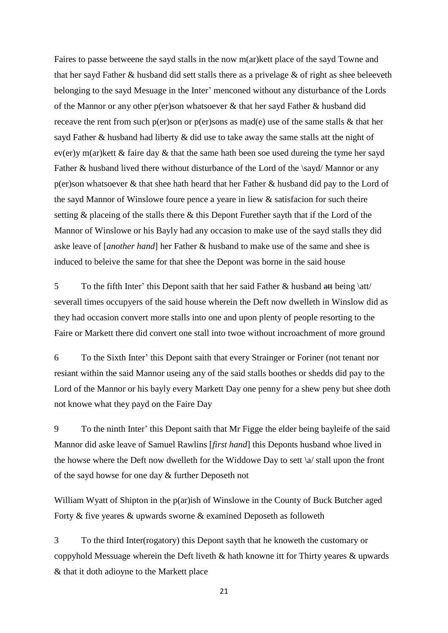Faires to passe betweene the sayd stalls in the now m(ar)kett place of the sayd Towne and that her sayd Father & husband did sett stalls there as a privelage & of right as shee beleeveth belonging to the sayd Mesuage in the Inter' menconed without any disturbance of the Lords of the Mannor or any other p(er)son whatsoever & that her sayd Father & husband did receave the rent from such p(er)son or p(er)sons as mad(e) use of the same stalls & that her sayd Father & husband had liberty & did use to take away the same stalls att the night of ev(er)y m(ar)kett & faire day & that the same hath been soe used dureing the tyme her sayd Father & husband lived there without disturbance of the Lord of the \sayd/ Mannor or any p(er)son whatsoever & that shee hath heard that her Father & husband did pay to the Lord of the sayd Mannor of Winslowe foure pence a yeare in liew & satisfacion for such theire setting & placeing of the stalls there & this Depont Furether sayth that if the Lord of the Mannor of Winslowe or his Bayly had any occasion to make use of the sayd stalls they did aske leave of [*another hand*] her Father & husband to make use of the same and shee is induced to beleive the same for that shee the Depont was borne in the said house

5 To the fifth Inter' this Depont saith that her said Father  $\&$  husband  $\frac{att}{at}$  being \att/ severall times occupyers of the said house wherein the Deft now dwelleth in Winslow did as they had occasion convert more stalls into one and upon plenty of people resorting to the Faire or Markett there did convert one stall into twoe without incroachment of more ground

6 To the Sixth Inter' this Depont saith that every Strainger or Foriner (not tenant nor resiant within the said Mannor useing any of the said stalls boothes or shedds did pay to the Lord of the Mannor or his bayly every Markett Day one penny for a shew peny but shee doth not knowe what they payd on the Faire Day

9 To the ninth Inter' this Depont saith that Mr Figge the elder being bayleife of the said Mannor did aske leave of Samuel Rawlins [*first hand*] this Deponts husband whoe lived in the howse where the Deft now dwelleth for the Widdowe Day to sett \a/ stall upon the front of the sayd howse for one day & further Deposeth not

William Wyatt of Shipton in the p(ar)ish of Winslowe in the County of Buck Butcher aged Forty & five yeares & upwards sworne & examined Deposeth as followeth

3 To the third Inter(rogatory) this Depont sayth that he knoweth the customary or coppyhold Messuage wherein the Deft liveth & hath knowne itt for Thirty yeares & upwards & that it doth adioyne to the Markett place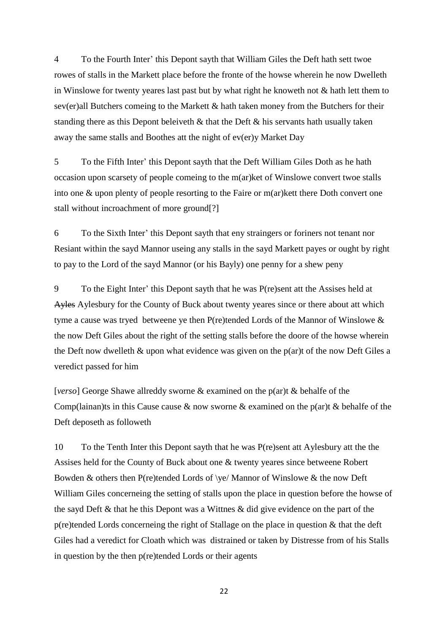4 To the Fourth Inter' this Depont sayth that William Giles the Deft hath sett twoe rowes of stalls in the Markett place before the fronte of the howse wherein he now Dwelleth in Winslowe for twenty yeares last past but by what right he knoweth not & hath lett them to sev(er)all Butchers comeing to the Markett & hath taken money from the Butchers for their standing there as this Depont beleiveth  $\&$  that the Deft  $\&$  his servants hath usually taken away the same stalls and Boothes att the night of ev(er)y Market Day

5 To the Fifth Inter' this Depont sayth that the Deft William Giles Doth as he hath occasion upon scarsety of people comeing to the m(ar)ket of Winslowe convert twoe stalls into one & upon plenty of people resorting to the Faire or m(ar)kett there Doth convert one stall without incroachment of more ground[?]

6 To the Sixth Inter' this Depont sayth that eny straingers or foriners not tenant nor Resiant within the sayd Mannor useing any stalls in the sayd Markett payes or ought by right to pay to the Lord of the sayd Mannor (or his Bayly) one penny for a shew peny

9 To the Eight Inter' this Depont sayth that he was P(re)sent att the Assises held at Ayles Aylesbury for the County of Buck about twenty yeares since or there about att which tyme a cause was tryed betweene ye then P(re)tended Lords of the Mannor of Winslowe & the now Deft Giles about the right of the setting stalls before the doore of the howse wherein the Deft now dwelleth  $\&$  upon what evidence was given on the p(ar)t of the now Deft Giles a veredict passed for him

[*verso*] George Shawe allreddy sworne & examined on the p(ar)t & behalfe of the Comp(lainan)ts in this Cause cause  $\&$  now sworne  $\&$  examined on the p(ar)t  $\&$  behalfe of the Deft deposeth as followeth

10 To the Tenth Inter this Depont sayth that he was P(re)sent att Aylesbury att the the Assises held for the County of Buck about one & twenty yeares since betweene Robert Bowden & others then P(re)tended Lords of \ye/ Mannor of Winslowe & the now Deft William Giles concerneing the setting of stalls upon the place in question before the howse of the sayd Deft & that he this Depont was a Wittnes & did give evidence on the part of the p(re)tended Lords concerneing the right of Stallage on the place in question & that the deft Giles had a veredict for Cloath which was distrained or taken by Distresse from of his Stalls in question by the then p(re)tended Lords or their agents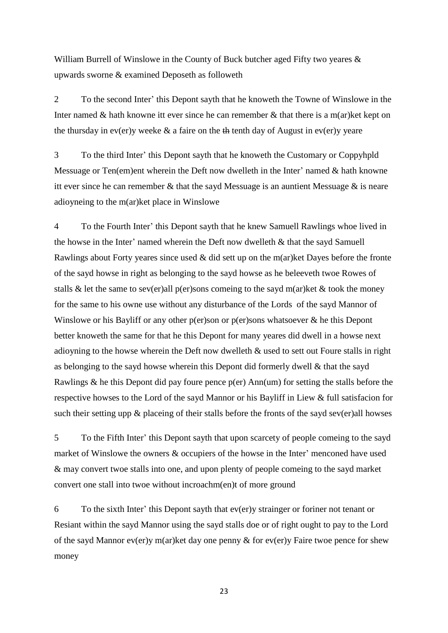William Burrell of Winslowe in the County of Buck butcher aged Fifty two yeares  $\&$ upwards sworne & examined Deposeth as followeth

2 To the second Inter' this Depont sayth that he knoweth the Towne of Winslowe in the Inter named  $\&$  hath knowne itt ever since he can remember  $\&$  that there is a m(ar)ket kept on the thursday in ev(er)y weeke  $\&$  a faire on the  $\&$  tenth day of August in ev(er)y yeare

3 To the third Inter' this Depont sayth that he knoweth the Customary or Coppyhpld Messuage or Ten(em)ent wherein the Deft now dwelleth in the Inter' named & hath knowne itt ever since he can remember  $\&$  that the sayd Messuage is an auntient Messuage  $\&$  is neare adioyneing to the m(ar)ket place in Winslowe

4 To the Fourth Inter' this Depont sayth that he knew Samuell Rawlings whoe lived in the howse in the Inter' named wherein the Deft now dwelleth & that the sayd Samuell Rawlings about Forty yeares since used  $\&$  did sett up on the m(ar)ket Dayes before the fronte of the sayd howse in right as belonging to the sayd howse as he beleeveth twoe Rowes of stalls & let the same to sev(er)all p(er)sons comeing to the sayd m(ar)ket & took the money for the same to his owne use without any disturbance of the Lords of the sayd Mannor of Winslowe or his Bayliff or any other p(er)son or p(er)sons whatsoever & he this Depont better knoweth the same for that he this Depont for many yeares did dwell in a howse next adioyning to the howse wherein the Deft now dwelleth & used to sett out Foure stalls in right as belonging to the sayd howse wherein this Depont did formerly dwell & that the sayd Rawlings & he this Depont did pay foure pence p(er) Ann(um) for setting the stalls before the respective howses to the Lord of the sayd Mannor or his Bayliff in Liew & full satisfacion for such their setting upp  $\&$  placeing of their stalls before the fronts of the sayd sev(er)all howses

5 To the Fifth Inter' this Depont sayth that upon scarcety of people comeing to the sayd market of Winslowe the owners & occupiers of the howse in the Inter' menconed have used & may convert twoe stalls into one, and upon plenty of people comeing to the sayd market convert one stall into twoe without incroachm(en)t of more ground

6 To the sixth Inter' this Depont sayth that ev(er)y strainger or foriner not tenant or Resiant within the sayd Mannor using the sayd stalls doe or of right ought to pay to the Lord of the sayd Mannor ev(er)y m(ar)ket day one penny & for ev(er)y Faire twoe pence for shew money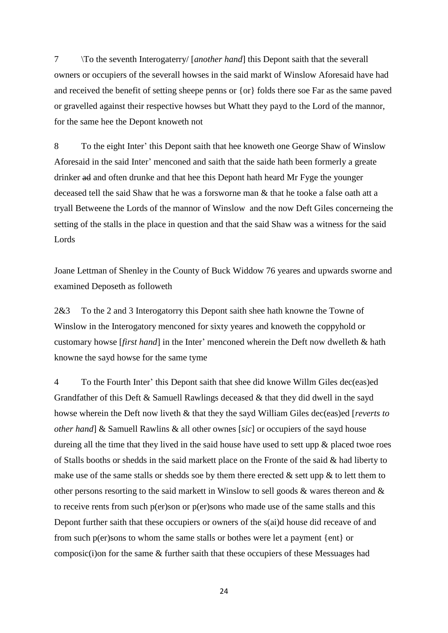7 \To the seventh Interogaterry/ [*another hand*] this Depont saith that the severall owners or occupiers of the severall howses in the said markt of Winslow Aforesaid have had and received the benefit of setting sheepe penns or {or} folds there soe Far as the same paved or gravelled against their respective howses but Whatt they payd to the Lord of the mannor, for the same hee the Depont knoweth not

8 To the eight Inter' this Depont saith that hee knoweth one George Shaw of Winslow Aforesaid in the said Inter' menconed and saith that the saide hath been formerly a greate drinker ad and often drunke and that hee this Depont hath heard Mr Fyge the younger deceased tell the said Shaw that he was a forsworne man & that he tooke a false oath att a tryall Betweene the Lords of the mannor of Winslow and the now Deft Giles concerneing the setting of the stalls in the place in question and that the said Shaw was a witness for the said Lords

Joane Lettman of Shenley in the County of Buck Widdow 76 yeares and upwards sworne and examined Deposeth as followeth

2&3 To the 2 and 3 Interogatorry this Depont saith shee hath knowne the Towne of Winslow in the Interogatory menconed for sixty yeares and knoweth the coppyhold or customary howse [*first hand*] in the Inter' menconed wherein the Deft now dwelleth & hath knowne the sayd howse for the same tyme

4 To the Fourth Inter' this Depont saith that shee did knowe Willm Giles dec(eas)ed Grandfather of this Deft & Samuell Rawlings deceased & that they did dwell in the sayd howse wherein the Deft now liveth & that they the sayd William Giles dec(eas)ed [*reverts to other hand*] & Samuell Rawlins & all other ownes [*sic*] or occupiers of the sayd house dureing all the time that they lived in the said house have used to sett upp  $\&$  placed twoe roes of Stalls booths or shedds in the said markett place on the Fronte of the said & had liberty to make use of the same stalls or shedds soe by them there erected  $\&$  sett upp  $\&$  to lett them to other persons resorting to the said markett in Winslow to sell goods  $\&$  wares thereon and  $\&$ to receive rents from such p(er)son or p(er)sons who made use of the same stalls and this Depont further saith that these occupiers or owners of the s(ai)d house did receave of and from such p(er)sons to whom the same stalls or bothes were let a payment {ent} or composic(i)on for the same & further saith that these occupiers of these Messuages had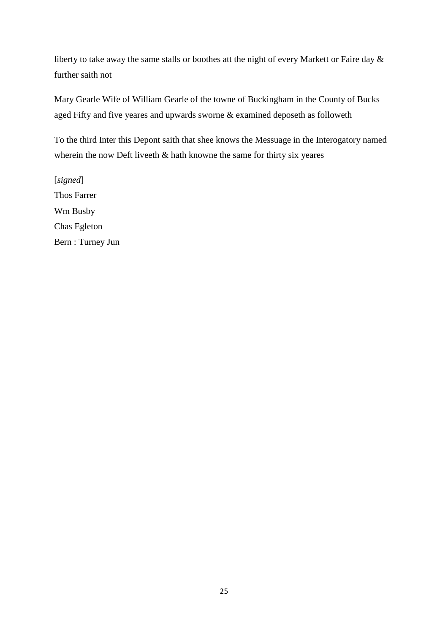liberty to take away the same stalls or boothes att the night of every Markett or Faire day & further saith not

Mary Gearle Wife of William Gearle of the towne of Buckingham in the County of Bucks aged Fifty and five yeares and upwards sworne & examined deposeth as followeth

To the third Inter this Depont saith that shee knows the Messuage in the Interogatory named wherein the now Deft liveeth & hath knowne the same for thirty six yeares

[*signed*] Thos Farrer Wm Busby Chas Egleton Bern : Turney Jun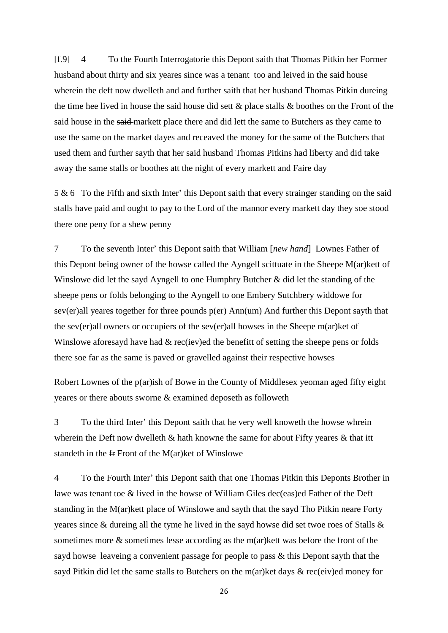[f.9] 4 To the Fourth Interrogatorie this Depont saith that Thomas Pitkin her Former husband about thirty and six yeares since was a tenant too and leived in the said house wherein the deft now dwelleth and and further saith that her husband Thomas Pitkin dureing the time hee lived in house the said house did sett  $\&$  place stalls  $\&$  boothes on the Front of the said house in the said markett place there and did lett the same to Butchers as they came to use the same on the market dayes and receaved the money for the same of the Butchers that used them and further sayth that her said husband Thomas Pitkins had liberty and did take away the same stalls or boothes att the night of every markett and Faire day

5 & 6 To the Fifth and sixth Inter' this Depont saith that every strainger standing on the said stalls have paid and ought to pay to the Lord of the mannor every markett day they soe stood there one peny for a shew penny

7 To the seventh Inter' this Depont saith that William [*new hand*] Lownes Father of this Depont being owner of the howse called the Ayngell scittuate in the Sheepe M(ar)kett of Winslowe did let the sayd Ayngell to one Humphry Butcher & did let the standing of the sheepe pens or folds belonging to the Ayngell to one Embery Sutchbery widdowe for sev(er)all yeares together for three pounds p(er) Ann(um) And further this Depont sayth that the sev(er)all owners or occupiers of the sev(er)all howses in the Sheepe m(ar)ket of Winslowe aforesayd have had  $& rec(iev)ed$  the benefitt of setting the sheepe pens or folds there soe far as the same is paved or gravelled against their respective howses

Robert Lownes of the p(ar)ish of Bowe in the County of Middlesex yeoman aged fifty eight yeares or there abouts sworne & examined deposeth as followeth

3 To the third Inter' this Depont saith that he very well knoweth the howse whrein wherein the Deft now dwelleth & hath knowne the same for about Fifty yeares & that itt standeth in the  $f$ Front of the M(ar)ket of Winslowe

4 To the Fourth Inter' this Depont saith that one Thomas Pitkin this Deponts Brother in lawe was tenant toe & lived in the howse of William Giles dec(eas)ed Father of the Deft standing in the M(ar)kett place of Winslowe and sayth that the sayd Tho Pitkin neare Forty yeares since & dureing all the tyme he lived in the sayd howse did set twoe roes of Stalls & sometimes more & sometimes lesse according as the m(ar)kett was before the front of the sayd howse leaveing a convenient passage for people to pass & this Depont sayth that the sayd Pitkin did let the same stalls to Butchers on the m(ar)ket days & rec(eiv)ed money for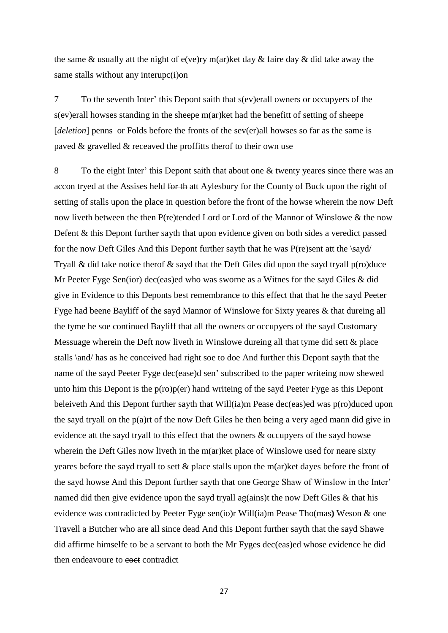the same & usually att the night of e(ve)ry m(ar)ket day & faire day & did take away the same stalls without any interupc(i)on

7 To the seventh Inter' this Depont saith that s(ev)erall owners or occupyers of the s(ev)erall howses standing in the sheepe m(ar)ket had the benefitt of setting of sheepe [*deletion*] penns or Folds before the fronts of the sev(er)all howses so far as the same is paved & gravelled & receaved the proffitts therof to their own use

8 To the eight Inter' this Depont saith that about one & twenty yeares since there was an accon tryed at the Assises held for the att Aylesbury for the County of Buck upon the right of setting of stalls upon the place in question before the front of the howse wherein the now Deft now liveth between the then P(re)tended Lord or Lord of the Mannor of Winslowe & the now Defent & this Depont further sayth that upon evidence given on both sides a veredict passed for the now Deft Giles And this Depont further sayth that he was P(re)sent att the \sayd/ Tryall & did take notice therof  $\&$  sayd that the Deft Giles did upon the sayd tryall p(ro)duce Mr Peeter Fyge Sen(ior) dec(eas)ed who was sworne as a Witnes for the sayd Giles & did give in Evidence to this Deponts best remembrance to this effect that that he the sayd Peeter Fyge had beene Bayliff of the sayd Mannor of Winslowe for Sixty yeares & that dureing all the tyme he soe continued Bayliff that all the owners or occupyers of the sayd Customary Messuage wherein the Deft now liveth in Winslowe dureing all that tyme did sett & place stalls \and/ has as he conceived had right soe to doe And further this Depont sayth that the name of the sayd Peeter Fyge dec(ease)d sen' subscribed to the paper writeing now shewed unto him this Depont is the p(ro)p(er) hand writeing of the sayd Peeter Fyge as this Depont beleiveth And this Depont further sayth that Will(ia)m Pease dec(eas)ed was p(ro)duced upon the sayd tryall on the p(a)rt of the now Deft Giles he then being a very aged mann did give in evidence att the sayd tryall to this effect that the owners & occupyers of the sayd howse wherein the Deft Giles now liveth in the m(ar)ket place of Winslowe used for neare sixty yeares before the sayd tryall to sett & place stalls upon the m(ar)ket dayes before the front of the sayd howse And this Depont further sayth that one George Shaw of Winslow in the Inter' named did then give evidence upon the sayd tryall ag(ains)t the now Deft Giles & that his evidence was contradicted by Peeter Fyge sen(io)r Will(ia)m Pease Tho(mas**)** Weson & one Travell a Butcher who are all since dead And this Depont further sayth that the sayd Shawe did affirme himselfe to be a servant to both the Mr Fyges dec(eas)ed whose evidence he did then endeavoure to esset contradict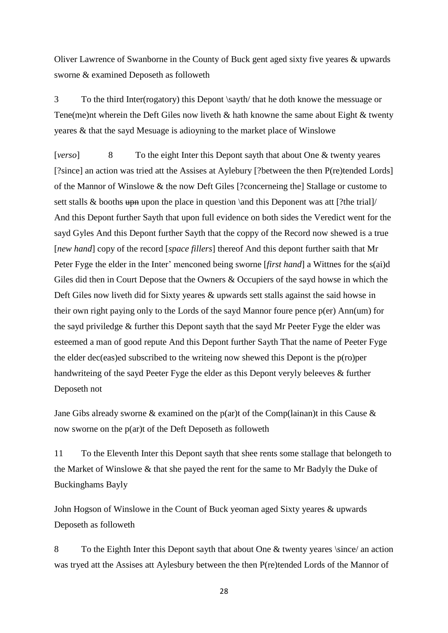Oliver Lawrence of Swanborne in the County of Buck gent aged sixty five yeares & upwards sworne & examined Deposeth as followeth

3 To the third Inter(rogatory) this Depont \sayth/ that he doth knowe the messuage or Tene(me)nt wherein the Deft Giles now liveth & hath knowne the same about Eight & twenty yeares & that the sayd Mesuage is adioyning to the market place of Winslowe

[*verso*] 8 To the eight Inter this Depont sayth that about One & twenty yeares [?since] an action was tried att the Assises at Aylebury [?between the then P(re)tended Lords] of the Mannor of Winslowe & the now Deft Giles [?concerneing the] Stallage or custome to sett stalls  $\&$  booths up upon the place in question \and this Deponent was att [?the trial]/ And this Depont further Sayth that upon full evidence on both sides the Veredict went for the sayd Gyles And this Depont further Sayth that the coppy of the Record now shewed is a true [*new hand*] copy of the record [*space fillers*] thereof And this depont further saith that Mr Peter Fyge the elder in the Inter' menconed being sworne [*first hand*] a Wittnes for the s(ai)d Giles did then in Court Depose that the Owners & Occupiers of the sayd howse in which the Deft Giles now liveth did for Sixty yeares & upwards sett stalls against the said howse in their own right paying only to the Lords of the sayd Mannor foure pence p(er) Ann(um) for the sayd priviledge & further this Depont sayth that the sayd Mr Peeter Fyge the elder was esteemed a man of good repute And this Depont further Sayth That the name of Peeter Fyge the elder dec(eas)ed subscribed to the writeing now shewed this Depont is the p(ro)per handwriteing of the sayd Peeter Fyge the elder as this Depont veryly beleeves & further Deposeth not

Jane Gibs already sworne & examined on the p(ar)t of the Comp(lainan)t in this Cause & now sworne on the p(ar)t of the Deft Deposeth as followeth

11 To the Eleventh Inter this Depont sayth that shee rents some stallage that belongeth to the Market of Winslowe & that she payed the rent for the same to Mr Badyly the Duke of Buckinghams Bayly

John Hogson of Winslowe in the Count of Buck yeoman aged Sixty yeares & upwards Deposeth as followeth

8 To the Eighth Inter this Depont sayth that about One & twenty yeares \since/ an action was tryed att the Assises att Aylesbury between the then P(re)tended Lords of the Mannor of